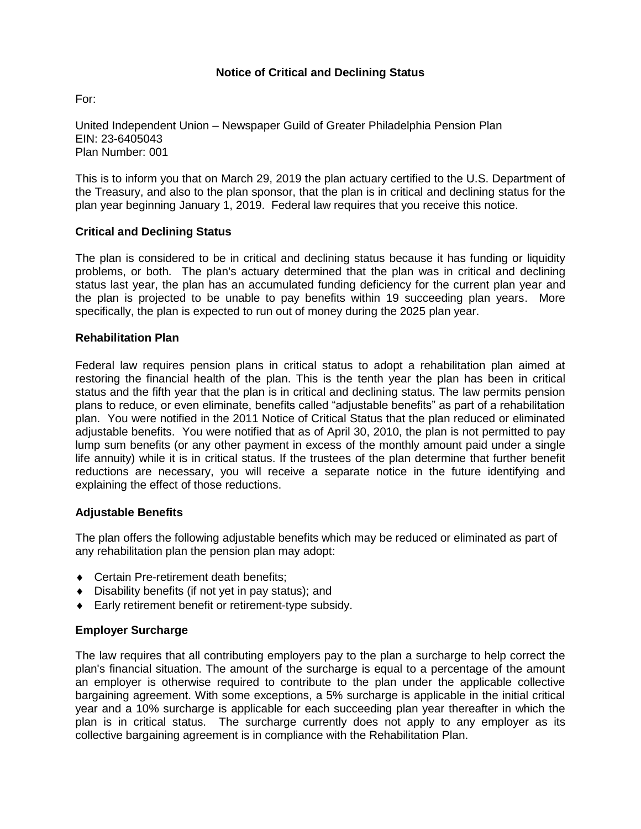# **Notice of Critical and Declining Status**

For:

United Independent Union – Newspaper Guild of Greater Philadelphia Pension Plan EIN: 23-6405043 Plan Number: 001

This is to inform you that on March 29, 2019 the plan actuary certified to the U.S. Department of the Treasury, and also to the plan sponsor, that the plan is in critical and declining status for the plan year beginning January 1, 2019. Federal law requires that you receive this notice.

### **Critical and Declining Status**

The plan is considered to be in critical and declining status because it has funding or liquidity problems, or both. The plan's actuary determined that the plan was in critical and declining status last year, the plan has an accumulated funding deficiency for the current plan year and the plan is projected to be unable to pay benefits within 19 succeeding plan years. More specifically, the plan is expected to run out of money during the 2025 plan year.

#### **Rehabilitation Plan**

Federal law requires pension plans in critical status to adopt a rehabilitation plan aimed at restoring the financial health of the plan. This is the tenth year the plan has been in critical status and the fifth year that the plan is in critical and declining status. The law permits pension plans to reduce, or even eliminate, benefits called "adjustable benefits" as part of a rehabilitation plan. You were notified in the 2011 Notice of Critical Status that the plan reduced or eliminated adjustable benefits. You were notified that as of April 30, 2010, the plan is not permitted to pay lump sum benefits (or any other payment in excess of the monthly amount paid under a single life annuity) while it is in critical status. If the trustees of the plan determine that further benefit reductions are necessary, you will receive a separate notice in the future identifying and explaining the effect of those reductions.

#### **Adjustable Benefits**

The plan offers the following adjustable benefits which may be reduced or eliminated as part of any rehabilitation plan the pension plan may adopt:

- ◆ Certain Pre-retirement death benefits:
- Disability benefits (if not yet in pay status); and
- ◆ Early retirement benefit or retirement-type subsidy.

# **Employer Surcharge**

The law requires that all contributing employers pay to the plan a surcharge to help correct the plan's financial situation. The amount of the surcharge is equal to a percentage of the amount an employer is otherwise required to contribute to the plan under the applicable collective bargaining agreement. With some exceptions, a 5% surcharge is applicable in the initial critical year and a 10% surcharge is applicable for each succeeding plan year thereafter in which the plan is in critical status. The surcharge currently does not apply to any employer as its collective bargaining agreement is in compliance with the Rehabilitation Plan.